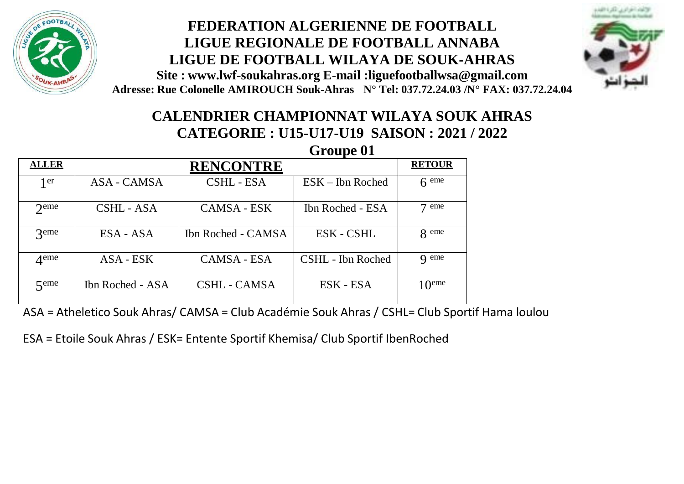

## **FEDERATION ALGERIENNE DE FOOTBALL LIGUE REGIONALE DE FOOTBALL ANNABA LIGUE DE FOOTBALL WILAYA DE SOUK-AHRAS Site : [www.lwf-soukahras.org](http://www.lwf-soukahras.org/) E-mail [:liguefootballwsa@gmail.com](mailto:liguefootballwsa@gmail.com) Adresse: Rue Colonelle AMIROUCH Souk-Ahras N° Tel: 037.72.24.03 /N° FAX: 037.72.24.04**



# **CALENDRIER CHAMPIONNAT WILAYA SOUK AHRAS CATEGORIE : U15-U17-U19 SAISON : 2021 / 2022**

|                    | Groupe 01        |                    |                    |                           |  |
|--------------------|------------------|--------------------|--------------------|---------------------------|--|
| <b>ALLER</b>       | <b>RENCONTRE</b> |                    |                    | <b>RETOUR</b>             |  |
| 1 er               | ASA - CAMSA      | CSHL - ESA         | $ESK - Ibn$ Roched | $6$ eme                   |  |
| $2$ <sub>eme</sub> | CSHL - ASA       | <b>CAMSA - ESK</b> | Ibn Roched - ESA   | $7 \text{ }$ eme          |  |
| <b>3</b> eme       | ESA - ASA        | Ibn Roched - CAMSA | ESK - CSHL         | <b>Q</b> eme              |  |
| $\Lambda$ eme      | ASA - ESK        | CAMSA - ESA        | CSHL - Ibn Roched  | <b>Q</b> eme              |  |
| $\zeta$ eme        | Ibn Roched - ASA | CSHL - CAMSA       | ESK - ESA          | 1 $\Omega$ <sup>eme</sup> |  |

ASA = Atheletico Souk Ahras/ CAMSA = Club Académie Souk Ahras / CSHL= Club Sportif Hama loulou

ESA = Etoile Souk Ahras / ESK= Entente Sportif Khemisa/ Club Sportif IbenRoched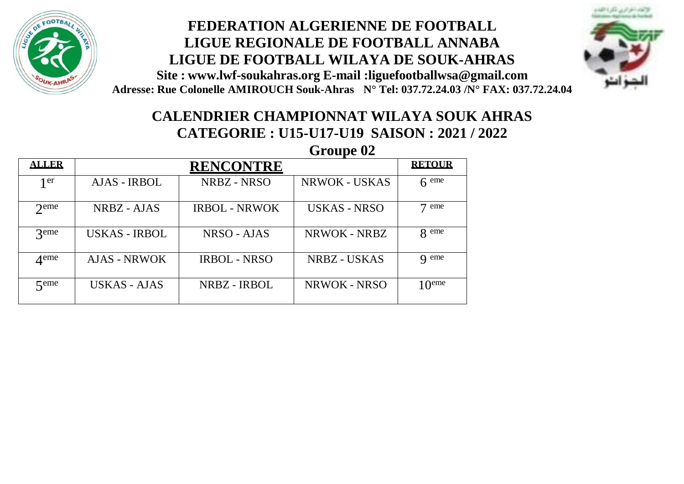

#### **FEDERATION ALGERIENNE DE FOOTBALL LIGUE REGIONALE DE FOOTBALL ANNABA LIGUE DE FOOTBALL WILAYA DE SOUK-AHRAS Site : [www.lwf-soukahras.org](http://www.lwf-soukahras.org/) E-mail [:liguefootballwsa@gmail.com](mailto:liguefootballwsa@gmail.com) Adresse: Rue Colonelle AMIROUCH Souk-Ahras N° Tel: 037.72.24.03 /N° FAX: 037.72.24.04**



## **CALENDRIER CHAMPIONNAT WILAYA SOUK AHRAS CATEGORIE : U15-U17-U19 SAISON : 2021 / 2022**

|                    |                      | Groupe 02            |                     |                     |
|--------------------|----------------------|----------------------|---------------------|---------------------|
| <u>ALLER</u>       |                      | <b>RENCONTRE</b>     |                     | <b>RETOUR</b>       |
| 1 er               | AJAS - IRBOL         | NRBZ - NRSO          | NRWOK - USKAS       | $6$ eme             |
| $2$ <sup>eme</sup> | NRBZ - AJAS          | <b>IRBOL - NRWOK</b> | <b>USKAS - NRSO</b> | eme                 |
| $\mathcal{R}$ eme  | <b>USKAS - IRBOL</b> | NRSO - AJAS          | NRWOK - NRBZ        | 8 eme               |
| $\Delta$ eme       | AJAS - NRWOK         | <b>IRBOL - NRSO</b>  | NRBZ - USKAS        | <b>Q</b> eme        |
| $\zeta$ eme        | USKAS - AJAS         | NRBZ - IRBOL         | NRWOK - NRSO        | $10$ <sup>eme</sup> |